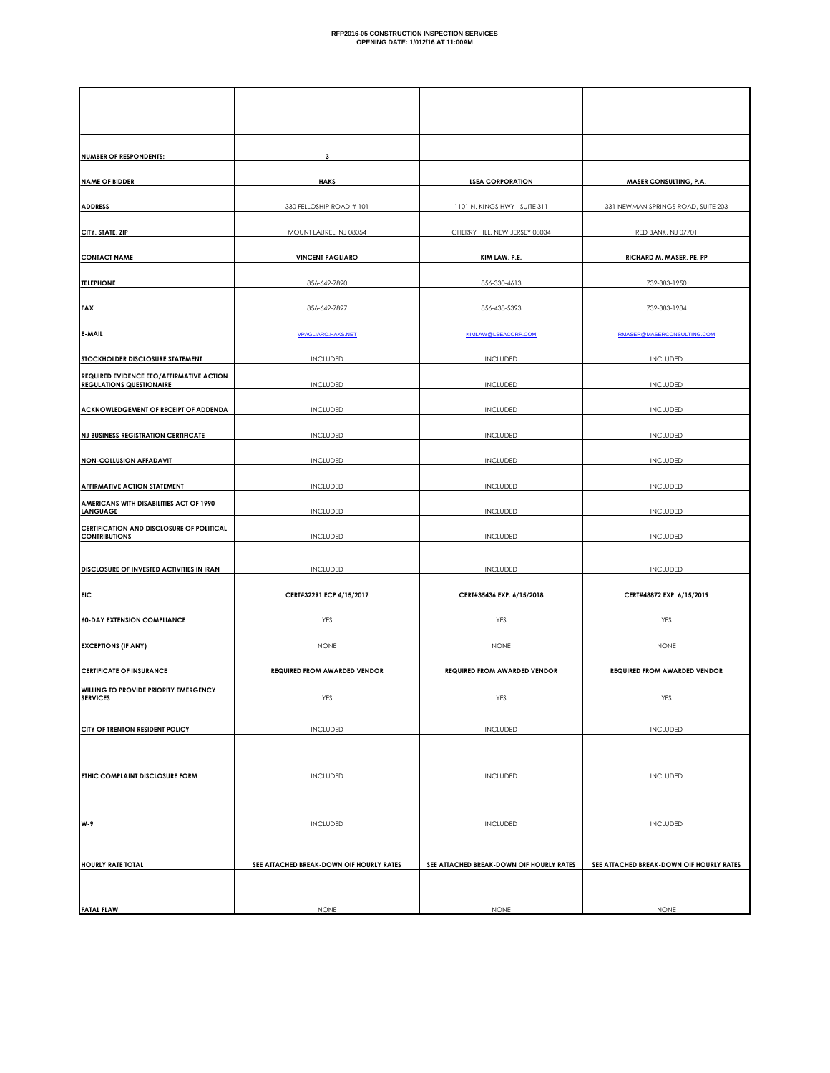| <b>NUMBER OF RESPONDENTS:</b>                                        | 3                                        |                                          |                                          |
|----------------------------------------------------------------------|------------------------------------------|------------------------------------------|------------------------------------------|
| <b>NAME OF BIDDER</b>                                                | <b>HAKS</b>                              | <b>LSEA CORPORATION</b>                  | <b>MASER CONSULTING, P.A.</b>            |
| <b>ADDRESS</b>                                                       | 330 FELLOSHIP ROAD # 101                 | 1101 N. KINGS HWY - SUITE 311            | 331 NEWMAN SPRINGS ROAD, SUITE 203       |
|                                                                      |                                          |                                          | RED BANK, NJ 07701                       |
| CITY, STATE, ZIP                                                     | MOUNT LAUREL, NJ 08054                   | CHERRY HILL, NEW JERSEY 08034            |                                          |
| <b>CONTACT NAME</b>                                                  | <b>VINCENT PAGLIARO</b>                  | KIM LAW, P.E.                            | RICHARD M. MASER, PE, PP                 |
| <b>TELEPHONE</b>                                                     | 856-642-7890                             | 856-330-4613                             | 732-383-1950                             |
| <b>FAX</b>                                                           | 856-642-7897                             | 856-438-5393                             | 732-383-1984                             |
| E-MAIL                                                               | <b>VPAGLIARO.HAKS.NET</b>                | KIMLAW@LSEACORP.COM                      | RMASER@MASERCONSULTING.COM               |
| STOCKHOLDER DISCLOSURE STATEMENT                                     | <b>INCLUDED</b>                          | <b>INCLUDED</b>                          | <b>INCLUDED</b>                          |
| REQUIRED EVIDENCE EEO/AFFIRMATIVE ACTION<br>REGULATIONS QUESTIONAIRE | INCLUDED                                 | INCLUDED                                 | <b>INCLUDED</b>                          |
| ACKNOWLEDGEMENT OF RECEIPT OF ADDENDA                                | <b>INCLUDED</b>                          | INCLUDED                                 | <b>INCLUDED</b>                          |
| NJ BUSINESS REGISTRATION CERTIFICATE                                 | <b>INCLUDED</b>                          | <b>INCLUDED</b>                          | <b>INCLUDED</b>                          |
| <b>NON-COLLUSION AFFADAVIT</b>                                       | <b>INCLUDED</b>                          | <b>INCLUDED</b>                          | <b>INCLUDED</b>                          |
| <b>AFFIRMATIVE ACTION STATEMENT</b>                                  | <b>INCLUDED</b>                          | <b>INCLUDED</b>                          | <b>INCLUDED</b>                          |
| AMERICANS WITH DISABILITIES ACT OF 1990<br><b>LANGUAGE</b>           | <b>INCLUDED</b>                          | <b>INCLUDED</b>                          | <b>INCLUDED</b>                          |
| CERTIFICATION AND DISCLOSURE OF POLITICAL<br><b>CONTRIBUTIONS</b>    | <b>INCLUDED</b>                          | <b>INCLUDED</b>                          | <b>INCLUDED</b>                          |
|                                                                      |                                          |                                          |                                          |
| DISCLOSURE OF INVESTED ACTIVITIES IN IRAN                            | <b>INCLUDED</b>                          | <b>INCLUDED</b>                          | <b>INCLUDED</b>                          |
| <b>EIC</b>                                                           | CERT#32291 ECP 4/15/2017                 | CERT#35436 EXP. 6/15/2018                | CERT#48872 EXP. 6/15/2019                |
| <b>60-DAY EXTENSION COMPLIANCE</b>                                   | YES                                      | <b>YES</b>                               | YES                                      |
| <b>EXCEPTIONS (IF ANY)</b>                                           | <b>NONE</b>                              | <b>NONE</b>                              | <b>NONE</b>                              |
| <b>CERTIFICATE OF INSURANCE</b>                                      | <b>REQUIRED FROM AWARDED VENDOR</b>      | <b>REQUIRED FROM AWARDED VENDOR</b>      | <b>REQUIRED FROM AWARDED VENDOR</b>      |
| WILLING TO PROVIDE PRIORITY EMERGENCY<br><b>SERVICES</b>             | YES                                      | YES                                      | YES                                      |
| CITY OF TRENTON RESIDENT POLICY                                      | <b>INCLUDED</b>                          | <b>INCLUDED</b>                          | <b>INCLUDED</b>                          |
|                                                                      |                                          |                                          |                                          |
| ETHIC COMPLAINT DISCLOSURE FORM                                      | <b>INCLUDED</b>                          | <b>INCLUDED</b>                          | <b>INCLUDED</b>                          |
|                                                                      |                                          |                                          |                                          |
| W-9                                                                  | <b>INCLUDED</b>                          | <b>INCLUDED</b>                          | <b>INCLUDED</b>                          |
|                                                                      |                                          |                                          |                                          |
| <b>HOURLY RATE TOTAL</b>                                             | SEE ATTACHED BREAK-DOWN OIF HOURLY RATES | SEE ATTACHED BREAK-DOWN OIF HOURLY RATES | SEE ATTACHED BREAK-DOWN OIF HOURLY RATES |
|                                                                      |                                          |                                          |                                          |
| <b>FATAL FLAW</b>                                                    | <b>NONE</b>                              | <b>NONE</b>                              | <b>NONE</b>                              |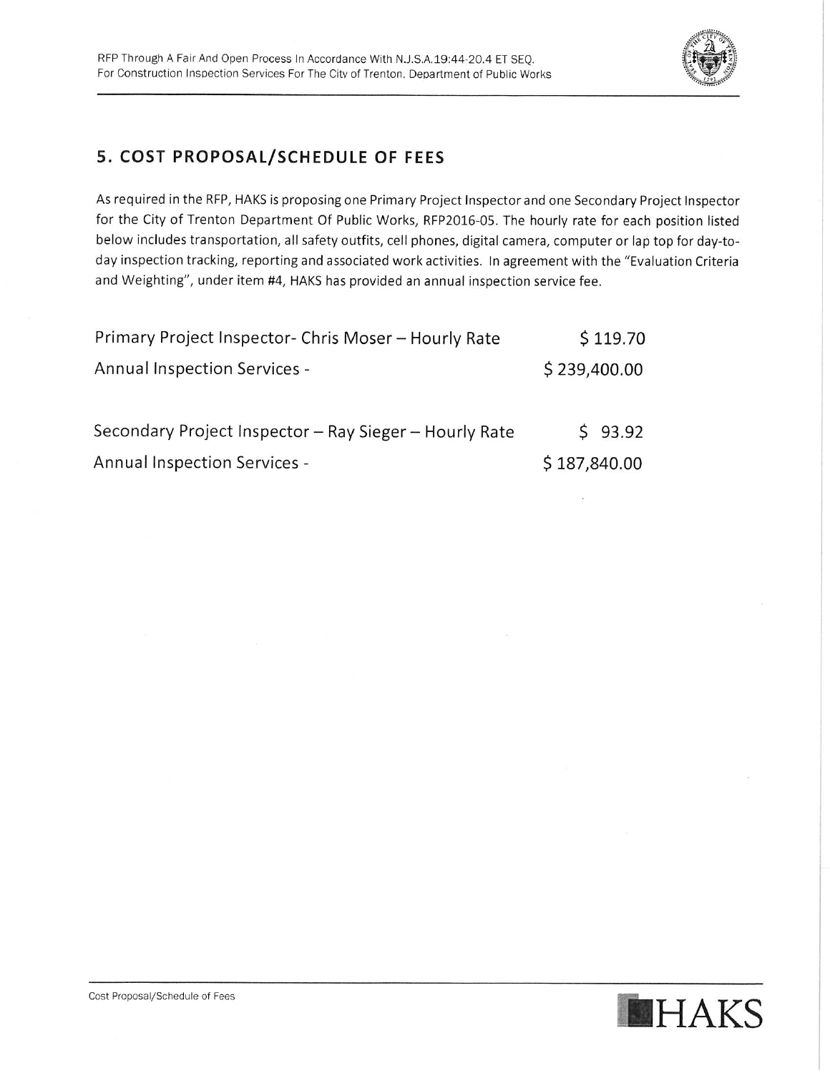

## 5. COST PROPOSAL/SCHEDULE OF FEES

As required in the RFP, HAKS is proposing one Primary Project Inspector and one Secondary Project Inspector for the City of Trenton Department Of Public Works, RFP2016-05. The hourly rate for each position listed below includes transportation, all safety outfits, cell phones, digital camera, computer or lap top for day-today inspection tracking, reporting and associated work activities. In agreement with the "Evaluation Criteria and Weighting", under item #4, HAKS has provided an annual inspection service fee.

| Primary Project Inspector- Chris Moser - Hourly Rate   | \$119.70     |
|--------------------------------------------------------|--------------|
| <b>Annual Inspection Services -</b>                    | \$239,400.00 |
| Secondary Project Inspector - Ray Sieger - Hourly Rate | \$93.92      |
| <b>Annual Inspection Services -</b>                    | \$187,840.00 |

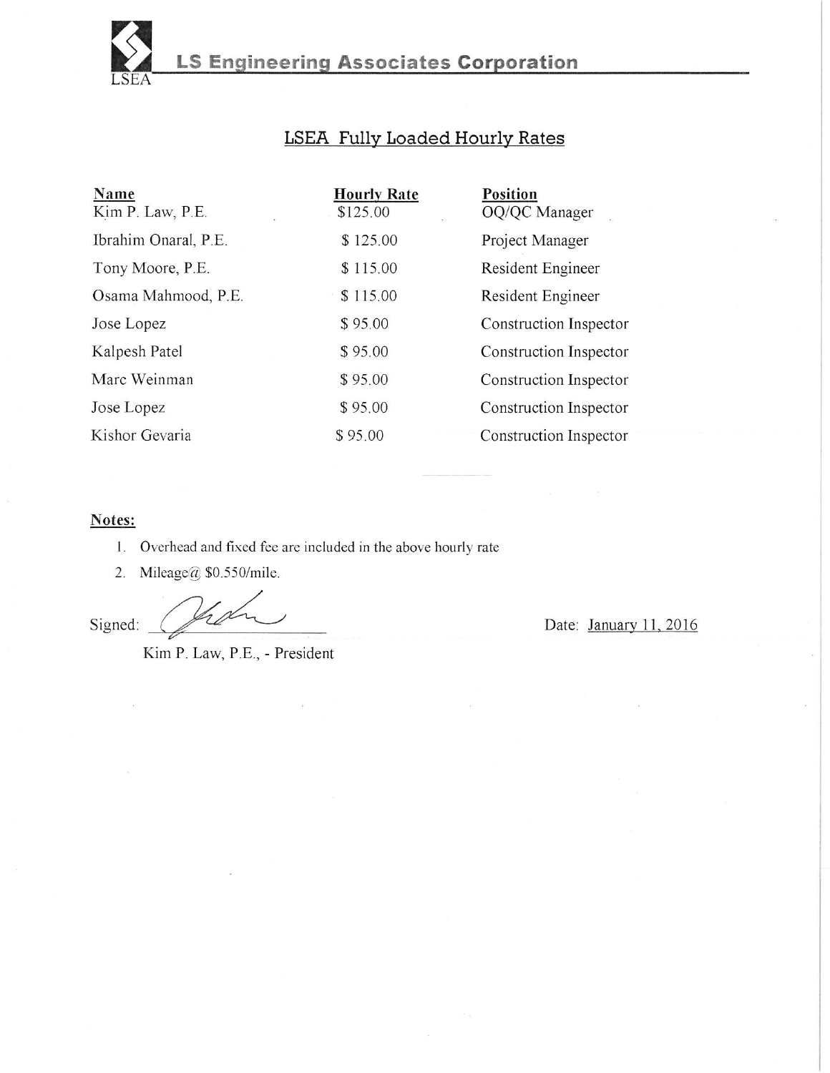

# LSEA Fully Loaded Hourly Rates

| Name<br>Kim P. Law, P.E. | <b>Hourly Rate</b><br>\$125.00 | <b>Position</b><br>OQ/QC Manager |
|--------------------------|--------------------------------|----------------------------------|
| Ibrahim Onaral, P.E.     | \$125.00                       | Project Manager                  |
| Tony Moore, P.E.         | \$115.00                       | Resident Engineer                |
| Osama Mahmood, P.E.      | \$115.00                       | Resident Engineer                |
| Jose Lopez               | \$95.00                        | Construction Inspector           |
| Kalpesh Patel            | \$95.00                        | Construction Inspector           |
| Marc Weinman             | \$95.00                        | Construction Inspector           |
| Jose Lopez               | \$95.00                        | Construction Inspector           |
| Kishor Gevaria           | \$95.00                        | Construction Inspector           |

#### Notes:

- 1. Overhead and fixed fee are included in the above hourly rate
- 2. Mileage@ \$0.550/mile.

Signed:

Date: January 11, 2016

Kim P. Law, P.E., - President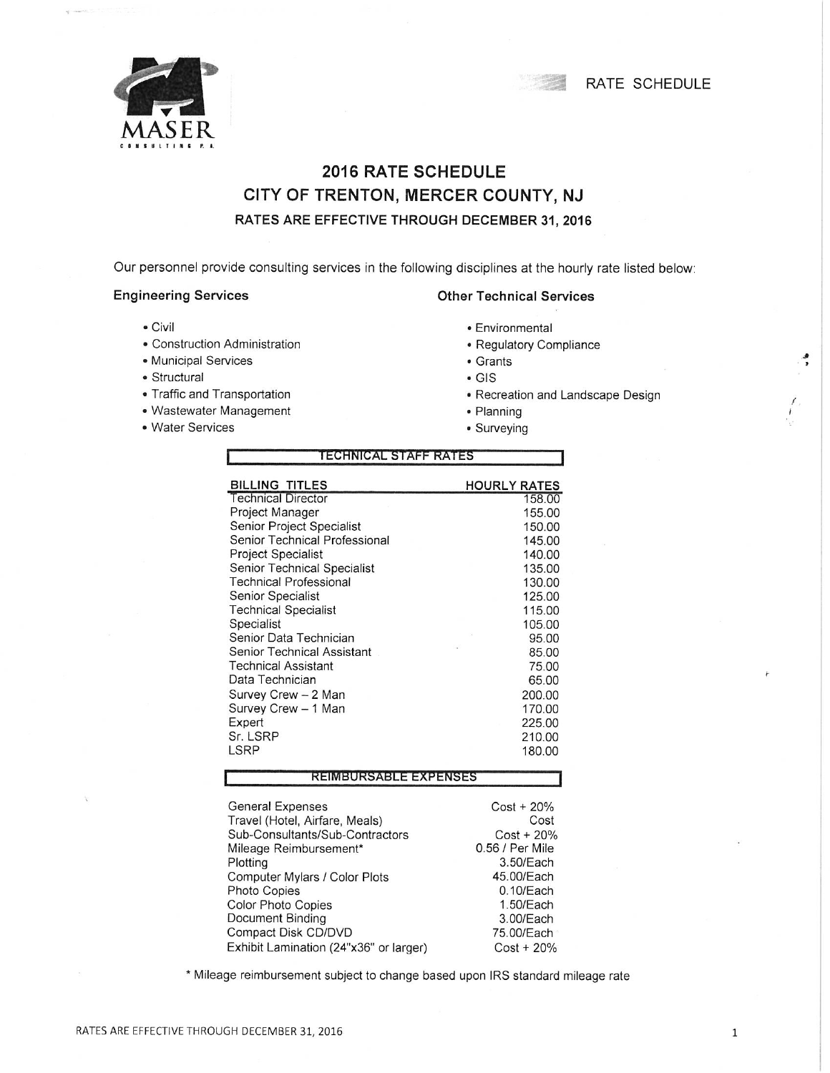



## **2016 RATE SCHEDULE** CITY OF TRENTON, MERCER COUNTY, NJ RATES ARE EFFECTIVE THROUGH DECEMBER 31, 2016

Our personnel provide consulting services in the following disciplines at the hourly rate listed below:

#### **Engineering Services**

- Civil
- Construction Administration
- · Municipal Services
- · Structural
- Traffic and Transportation
- Wastewater Management
- Water Services

# **Other Technical Services**

- Environmental
- Regulatory Compliance
- Grants
- $\bullet$  GIS
- Recreation and Landscape Design
- · Planning
- Surveying

| <b>TECHNICAL STAFF RATES</b>    |                              |  |  |  |
|---------------------------------|------------------------------|--|--|--|
| <b>BILLING TITLES</b>           | <b>HOURLY RATES</b>          |  |  |  |
| <b>Technical Director</b>       | 158.00                       |  |  |  |
| Project Manager                 | 155.00                       |  |  |  |
| Senior Project Specialist       | 150.00                       |  |  |  |
| Senior Technical Professional   | 145.00                       |  |  |  |
| <b>Project Specialist</b>       | 140.00                       |  |  |  |
| Senior Technical Specialist     | 135.00                       |  |  |  |
| <b>Technical Professional</b>   | 130.00                       |  |  |  |
| Senior Specialist               | 125.00                       |  |  |  |
| <b>Technical Specialist</b>     | 115.00                       |  |  |  |
| Specialist                      | 105.00                       |  |  |  |
| Senior Data Technician          | 95.00                        |  |  |  |
| Senior Technical Assistant      | 85.00                        |  |  |  |
| <b>Technical Assistant</b>      | 75.00                        |  |  |  |
| Data Technician                 | 65.00                        |  |  |  |
| Survey Crew - 2 Man             | 200.00                       |  |  |  |
| Survey Crew - 1 Man             | 170.00                       |  |  |  |
| Expert                          | 225.00                       |  |  |  |
| Sr. LSRP                        | 210.00                       |  |  |  |
| LSRP                            | 180.00                       |  |  |  |
| REIMBURSABLE EXPENSES           |                              |  |  |  |
|                                 |                              |  |  |  |
| General Expenses                | $Cost + 20\%$                |  |  |  |
| Travel (Hotel, Airfare, Meals)  | Cost                         |  |  |  |
| Sub-Consultants/Sub-Contractors | $Cost + 20%$                 |  |  |  |
| Mileage Reimbursement*          | 0.56 / Per Mile<br>3.50/Each |  |  |  |
| Plotting                        |                              |  |  |  |
| Computer Mylars / Color Plots   | 45.00/Each                   |  |  |  |
| <b>Photo Copies</b>             | 0.10/Each                    |  |  |  |
| <b>Color Photo Copies</b>       | 1.50/Each                    |  |  |  |
| Document Binding                | 3.00/Each                    |  |  |  |

\* Mileage reimbursement subject to change based upon IRS standard mileage rate

75.00/Each

 $Cost + 20\%$ 

Compact Disk CD/DVD

Exhibit Lamination (24"x36" or larger)

 $\mathbf{1}$